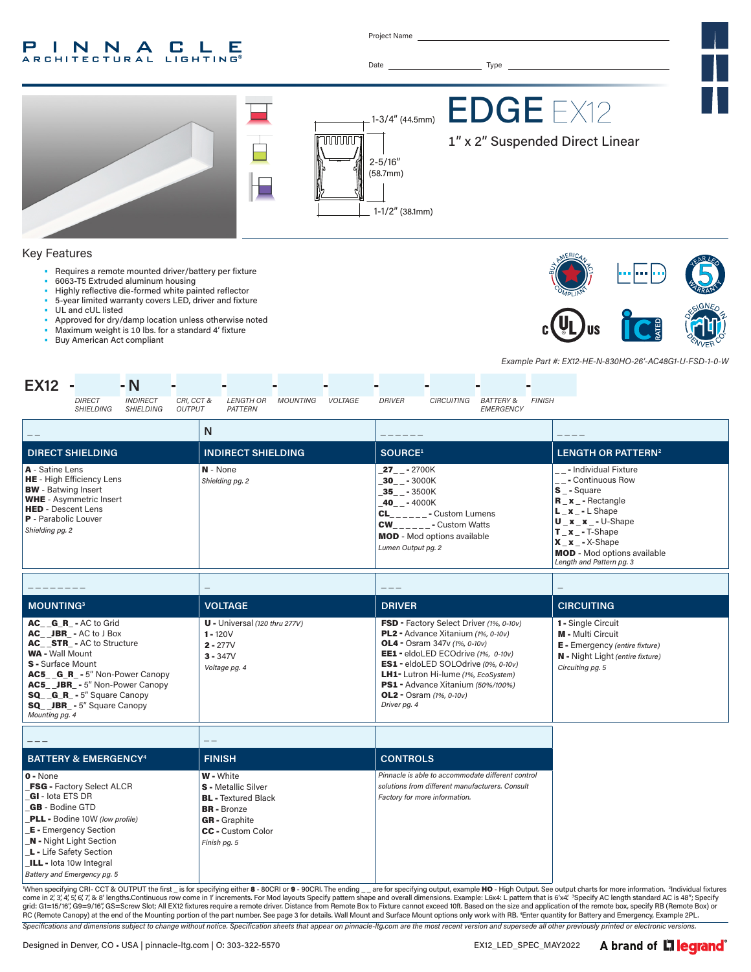#### INNA  $\mathbf{L}$ - C -Е **ARCHITECTURAL LIGHTING**

Project Name



*Lumen Output pg. 2*

\_ \_ \_ \_ \_ \_ \_ \_ \_ \_ \_ \_ \_ **MOUNTING3 VOLTAGE DRIVER CIRCUITING** U - Universal *(120 thru 277V)*  $1 - 120V$ 2 - 277V  $3 - 347V$ FSD - Factory Select Driver *(1%, 0-10v)* PL2 - Advance Xitanium *(1%, 0-10v)*

\_ \_ \_ \_ \_ **BATTERY & EMERGENCY4 FINISH CONTROLS**  $0 - N$ one W - White AC\_ \_JBR\_ - AC to J Box AC\_STR\_- AC to Structure WA - Wall Mount S - Surface Mount AC5\_\_G\_R\_ - 5" Non-Power Canopy AC5\_ \_JBR\_ - 5" Non-Power Canopy SQ\_ \_G\_R\_ - 5" Square Canopy SQ\_ \_JBR\_ - 5" Square Canopy *Mounting pg. 4 Voltage pg. 4* OL4 - Osram 347v *(1%, 0-10v)* EE1 - eldoLED ECOdrive *(1%, 0-10v)* ES1 - eldoLED SOLOdrive *(0%, 0-10v)* LH1- Lutron Hi-lume *(1%, EcoSystem)*  PS1 - Advance Xitanium *(50%/100%)* OL2 - Osram *(1%, 0-10v) Driver pg. 4*

FSG - Factory Select ALCR \_GI - Iota ETS DR GB - Bodine GTD \_PLL - Bodine 10W *(low profile)* **E** - Emergency Section \_N - Night Light Section L - Life Safety Section ILL - lota 10w Integral *Battery and Emergency pg. 5* S - Metallic Silver **BL** - Textured Black BR - Bronze GR - Graphite CC - Custom Color *Finish pg. 5 Pinnacle is able to accommodate different control solutions from different manufacturers. Consult Factory for more information.*

*Specifications and dimensions subject to change without notice. Specification sheets that appear on pinnacle-ltg.com are the most recent version and supersede all other previously printed or electronic versions.* When specifying CRI- CCT & OUTPUT the first \_ is for specifying either 8 - 80CRI or 9 - 90CRI. The ending \_\_are for specifying output, example HO - High Output. See output charts for more information. <sup>2</sup>Individual fixture grid: G1=15/16″, G9=9/16″, GS=Screw Slot; All EX12 fixtures require a remote driver. Distance from Remote Box to Fixture cannot exceed 10ft. Based on the size and application of the remote box, specify RB (Remote Box) or<br>R

AC\_\_G\_R\_ - AC to Grid

 $\texttt{X\_x}\_\texttt{-}$ X-Shape

1 - Single Circuit M - Multi Circuit E - Emergency *(entire fixture)* N - Night Light *(entire fixture)*

*Circuiting pg. 5*

MOD - Mod options available *Length and Pattern pg. 3*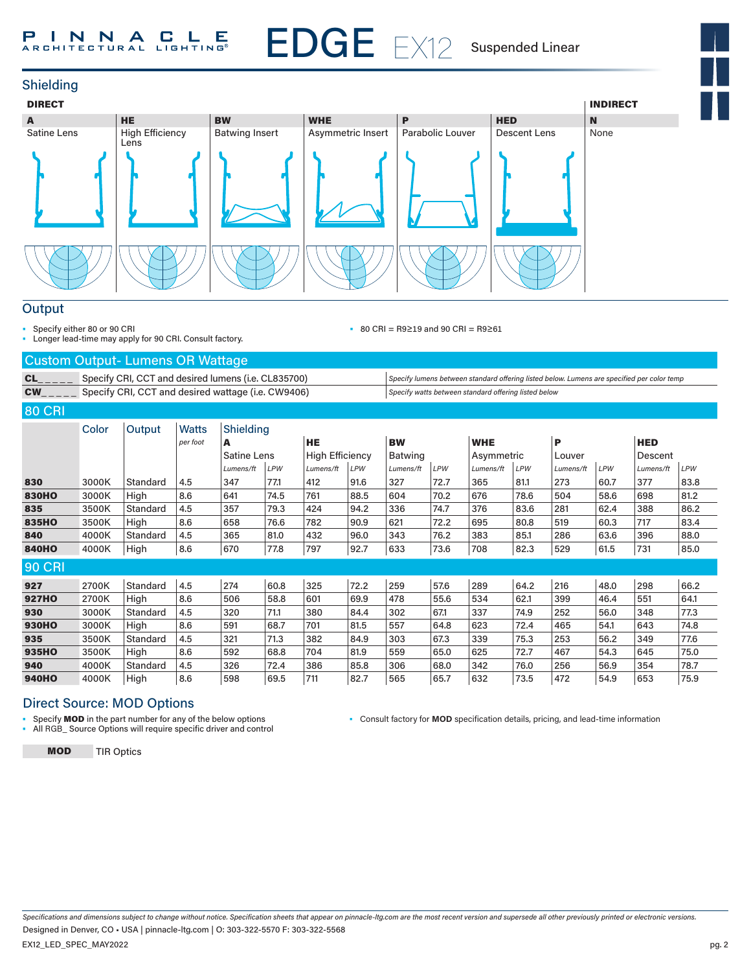# EDGE EX12 P I N N A C L E

Suspended Linear



#### **Output**

• Specify either 80 or 90 CRI

• Longer lead-time may apply for 90 CRI. Consult factory.

• 80 CRI = R9≥19 and 90 CRI = R9≥61

#### Custom Output- Lumens OR Wattage

CL\_\_\_\_\_ Specify CRI, CCT and desired lumens (i.e. CL835700) *Specify lumens between standard offering listed below. Lumens are specified per color temp* CW\_ \_ \_ \_ \_ Specify CRI, CCT and desired wattage (i.e. CW9406) *Specify watts between standard offering listed below*

80 CRI

| Color |          | <b>Watts</b> |           |      |                                 |      |                        |      |            |      |            |      |            |      |
|-------|----------|--------------|-----------|------|---------------------------------|------|------------------------|------|------------|------|------------|------|------------|------|
|       |          | per foot     | A         |      | <b>HE</b>                       |      | <b>BW</b>              |      | <b>WHE</b> |      | P          |      | <b>HED</b> |      |
|       |          |              |           |      |                                 |      | <b>Batwing</b>         |      |            |      | Louver     |      | Descent    |      |
|       |          |              | Lumens/ft | LPW  | Lumens/ft                       | LPW  | Lumens/ft              | LPW  | Lumens/ft  | LPW  | Lumens/ft  | LPW  | Lumens/ft  | LPW  |
| 3000K | Standard | 4.5          | 347       | 77.1 | 412                             | 91.6 | 327                    | 72.7 | 365        | 81.1 | 273        | 60.7 | 377        | 83.8 |
| 3000K | High     | 8.6          | 641       | 74.5 | 761                             | 88.5 | 604                    | 70.2 | 676        | 78.6 | 504        | 58.6 | 698        | 81.2 |
| 3500K | Standard | 4.5          | 357       | 79.3 | 424                             | 94.2 | 336                    | 74.7 | 376        | 83.6 | 281        | 62.4 | 388        | 86.2 |
| 3500K | High     | 8.6          | 658       | 76.6 | 782                             | 90.9 | 621                    | 72.2 | 695        | 80.8 | 519        | 60.3 | 717        | 83.4 |
| 4000K | Standard | 4.5          | 365       | 81.0 | 432                             | 96.0 | 343                    | 76.2 | 383        | 85.1 | 286        | 63.6 | 396        | 88.0 |
| 4000K | High     | 8.6          | 670       | 77.8 | 797                             | 92.7 | 633                    | 73.6 | 708        | 82.3 | 529        | 61.5 | 731        | 85.0 |
|       |          |              |           |      |                                 |      |                        |      |            |      |            |      |            |      |
| 2700K | Standard | 4.5          | 274       | 60.8 | 325                             | 72.2 | 259                    | 57.6 | 289        | 64.2 | 216        | 48.0 | 298        | 66.2 |
| 2700K | High     | 8.6          | 506       | 58.8 | 601                             | 69.9 | 478                    | 55.6 | 534        | 62.1 | 399        | 46.4 | 551        | 64.1 |
| 3000K | Standard | 4.5          | 320       | 71.1 | 380                             | 84.4 | 302                    | 67.1 | 337        | 74.9 | 252        | 56.0 | 348        | 77.3 |
| 3000K | High     | 8.6          | 591       | 68.7 | 701                             | 81.5 | 557                    | 64.8 | 623        | 72.4 | 465        | 54.1 | 643        | 74.8 |
| 3500K | Standard | 4.5          | 321       | 71.3 | 382                             | 84.9 | 303                    | 67.3 | 339        | 75.3 | 253        | 56.2 | 349        | 77.6 |
| 3500K | High     | 8.6          | 592       | 68.8 | 704                             | 81.9 | 559                    | 65.0 | 625        | 72.7 | 467        | 54.3 | 645        | 75.0 |
| 4000K | Standard | 4.5          | 326       | 72.4 | 386                             | 85.8 | 306                    | 68.0 | 342        | 76.0 | 256        | 56.9 | 354        | 78.7 |
| 4000K | High     | 8.6          | 598       | 69.5 | 711                             | 82.7 | 565                    | 65.7 | 632        | 73.5 | 472        | 54.9 | 653        | 75.9 |
|       |          | Output       |           |      | Shielding<br><b>Satine Lens</b> |      | <b>High Efficiency</b> |      |            |      | Asymmetric |      |            |      |

# Direct Source: MOD Options

• Specify MOD in the part number for any of the below options

• All RGB\_ Source Options will require specific driver and control

• Consult factory for **MOD** specification details, pricing, and lead-time information

MOD TIR Optics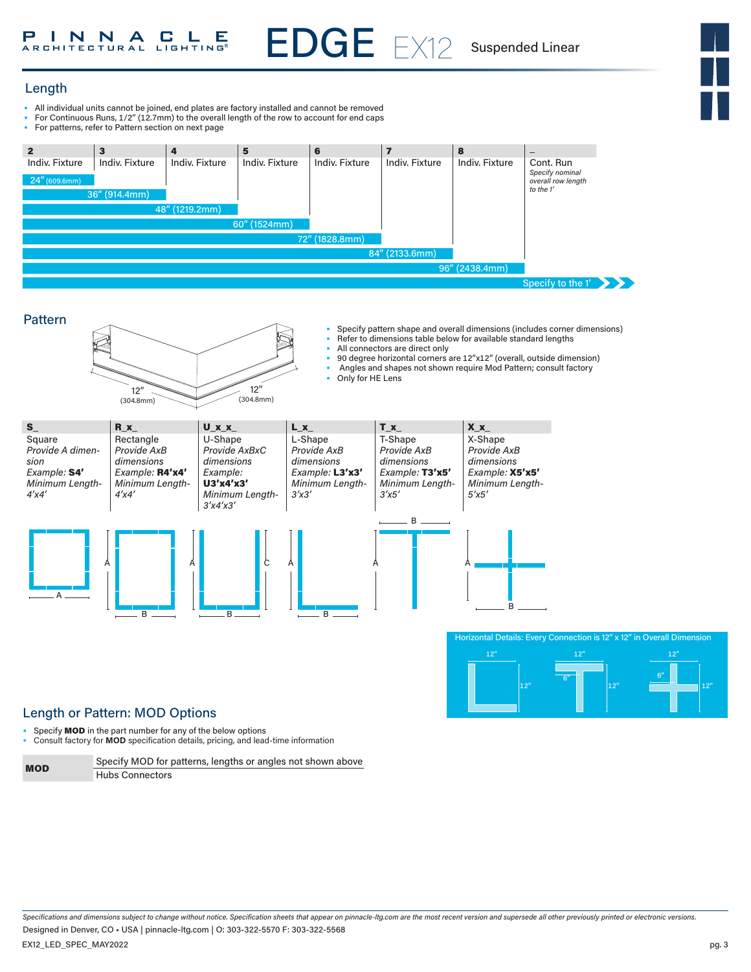

# Length

- All individual units cannot be joined, end plates are factory installed and cannot be removed
- For Continuous Runs, 1/2" (12.7mm) to the overall length of the row to account for end caps
- For patterns, refer to Pattern section on next page



EDGE EX12





# Length or Pattern: MOD Options

- Specify **MOD** in the part number for any of the below options
- Consult factory for **MOD** specification details, pricing, and lead-time information

| <b>MOD</b> | Specify MOD for patterns, lengths or angles not shown above |
|------------|-------------------------------------------------------------|
|            | <b>Hubs Connectors</b>                                      |

*Specifications and dimensions subject to change without notice. Specification sheets that appear on pinnacle-ltg.com are the most recent version and supersede all other previously printed or electronic versions.* EX12\_LED\_SPEC\_MAY2022 Designed in Denver, CO • USA | pinnacle-ltg.com | O: 303-322-5570 F: 303-322-5568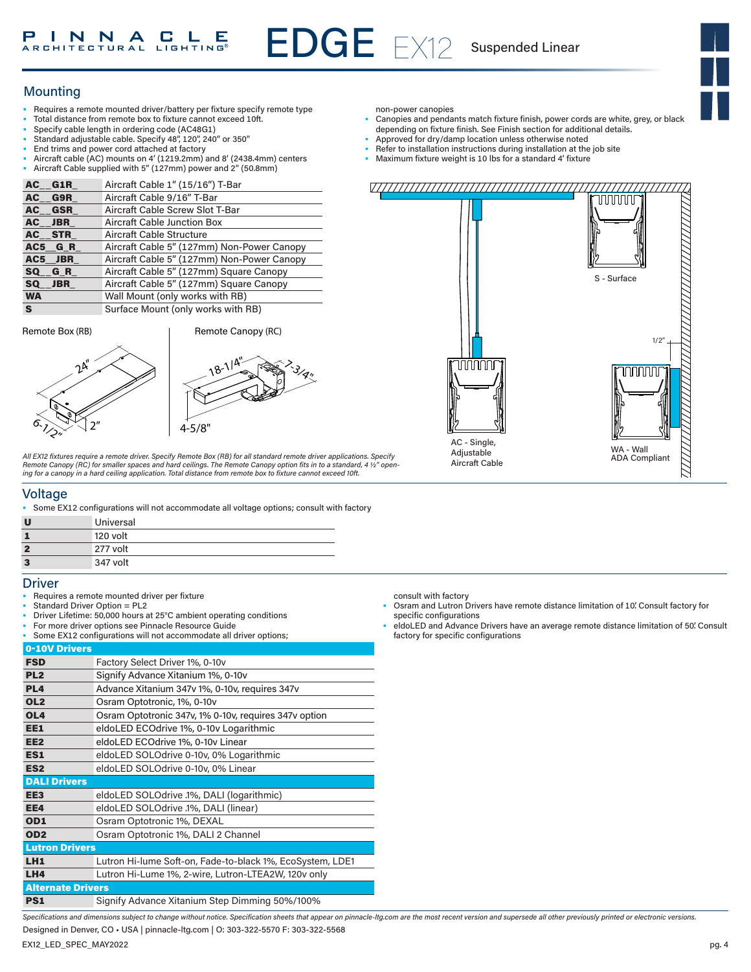Suspended Linear

# **Mounting**

- Requires a remote mounted driver/battery per fixture specify remote type
- Total distance from remote box to fixture cannot exceed 10ft.
- Specify cable length in ordering code (AC48G1)
- Standard adjustable cable. Specify 48", 120", 240" or 350"
- End trims and power cord attached at factory
- Aircraft cable (AC) mounts on 4' (1219.2mm) and 8' (2438.4mm) centers • Aircraft Cable supplied with 5" (127mm) power and 2" (50.8mm)

| AC G1R    | Aircraft Cable 1" (15/16") T-Bar           |
|-----------|--------------------------------------------|
| AC G9R    | Aircraft Cable 9/16" T-Bar                 |
| AC GSR    | Aircraft Cable Screw Slot T-Bar            |
| AC JBR    | <b>Aircraft Cable Junction Box</b>         |
| AC STR    | Aircraft Cable Structure                   |
| AC5 GR    | Aircraft Cable 5" (127mm) Non-Power Canopy |
| AC5 JBR   | Aircraft Cable 5" (127mm) Non-Power Canopy |
| SQ GR     | Aircraft Cable 5" (127mm) Square Canopy    |
| SQ JBR    | Aircraft Cable 5" (127mm) Square Canopy    |
| <b>WA</b> | Wall Mount (only works with RB)            |
| S.        | Surface Mount (only works with RB)         |

Remote Box (RB) Remote Canopy **(RC)** 

 $2^{\mathsf{A}^{\prime\prime}}$ 

2"



*All EX12 fixtures require a remote driver. Specify Remote Box (RB) for all standard remote driver applications. Specify*  Remote Canopy (RC) for smaller spaces and hard ceilings. The Remote Canopy option fits in to a standard, 4 ½″ open-<br>ing for a canopy in a hard ceiling application. Total distance from remote box to fixture cannot exceed 10

## Voltage

 $6\frac{1}{2}$ 

• Some EX12 configurations will not accommodate all voltage options; consult with factory

| U              | Universal |
|----------------|-----------|
|                | 120 volt  |
| $\overline{2}$ | 277 volt  |
| 3              | 347 volt  |

#### **Driver**

- Requires a remote mounted driver per fixture
- Standard Driver Option = PL2
- Driver Lifetime: 50,000 hours at 25°C ambient operating conditions
- For more driver options see Pinnacle Resource Guide
- Some EX12 configurations will not accommodate all driver options;

| 0-10V Drivers            |                                                           |
|--------------------------|-----------------------------------------------------------|
| <b>FSD</b>               | Factory Select Driver 1%, 0-10v                           |
| PL <sub>2</sub>          | Signify Advance Xitanium 1%, 0-10v                        |
| PL <sub>4</sub>          | Advance Xitanium 347v 1%, 0-10v, requires 347v            |
| OL <sub>2</sub>          | Osram Optotronic, 1%, 0-10y                               |
| OL <sub>4</sub>          | Osram Optotronic 347v, 1% 0-10v, requires 347v option     |
| EE1                      | eldoLED ECOdrive 1%, 0-10v Logarithmic                    |
| EE <sub>2</sub>          | eldoLED ECOdrive 1%, 0-10v Linear                         |
| ES1                      | eldoLED SOLOdrive 0-10v, 0% Logarithmic                   |
| ES <sub>2</sub>          | eldoLED SOLOdrive 0-10v, 0% Linear                        |
| <b>DALI Drivers</b>      |                                                           |
| EE3                      | eldoLED SOLOdrive .1%, DALI (logarithmic)                 |
| EE4                      | eldoLED SOLOdrive .1%, DALI (linear)                      |
| OD1                      | Osram Optotronic 1%, DEXAL                                |
| OD <sub>2</sub>          | Osram Optotronic 1%, DALI 2 Channel                       |
| <b>Lutron Drivers</b>    |                                                           |
| LH1                      | Lutron Hi-lume Soft-on, Fade-to-black 1%, EcoSystem, LDE1 |
| LH4                      | Lutron Hi-Lume 1%, 2-wire, Lutron-LTEA2W, 120v only       |
| <b>Alternate Drivers</b> |                                                           |
| PS1                      | Signify Advance Xitanium Step Dimming 50%/100%            |

non-power canopies

- Canopies and pendants match fixture finish, power cords are white, grey, or black depending on fixture finish. See Finish section for additional details.
- Approved for dry/damp location unless otherwise noted
- Refer to installation instructions during installation at the job site
- Maximum fixture weight is 10 lbs for a standard 4' fixture

 $11111$ 



consult with factory

- Osram and Lutron Drivers have remote distance limitation of 10'. Consult factory for specific configurations
- eldoLED and Advance Drivers have an average remote distance limitation of 50'. Consult factory for specific configurations

*Specifications and dimensions subject to change without notice. Specification sheets that appear on pinnacle-ltg.com are the most recent version and supersede all other previously printed or electronic versions.*

EX12\_LED\_SPEC\_MAY2022 Designed in Denver, CO • USA | pinnacle-ltg.com | O: 303-322-5570 F: 303-322-5568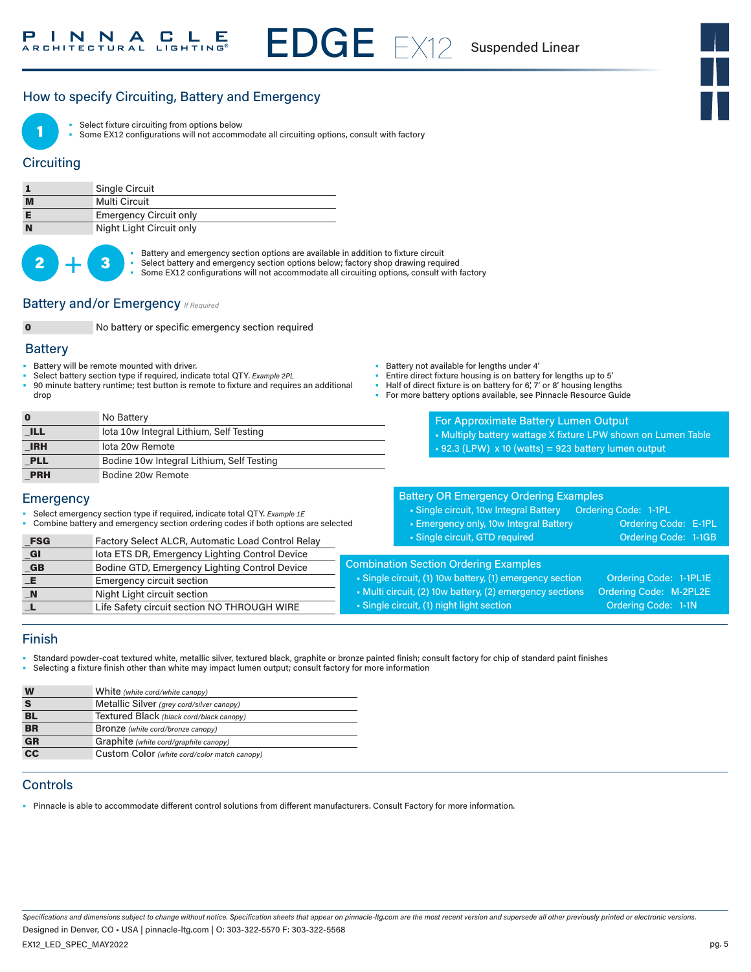# How to specify Circuiting, Battery and Emergency



Select fixture circuiting from options below

Some EX12 configurations will not accommodate all circuiting options, consult with factory

## **Circuiting**

|   | <b>Single Circuit</b>         |
|---|-------------------------------|
| M | Multi Circuit                 |
|   | <b>Emergency Circuit only</b> |
| N | Night Light Circuit only      |



• Battery and emergency section options are available in addition to fixture circuit<br>• Select battery and emergency section options below; factory shop drawing required

- 
- Some EX12 configurations will not accommodate all circuiting options, consult with factory

EDGE EX12

#### **Battery and/or Emergency** *If Required*

0 No battery or specific emergency section required

#### **Battery**

- Battery will be remote mounted with driver.
- Select battery section type if required, indicate total QTY*. Example 2PL*
- 90 minute battery runtime; test button is remote to fixture and requires an additional drop

| $\bf{0}$   | No Battery                                |
|------------|-------------------------------------------|
| <b>ILL</b> | lota 10w Integral Lithium, Self Testing   |
| <b>IRH</b> | lota 20w Remote                           |
| <b>PLL</b> | Bodine 10w Integral Lithium, Self Testing |
| <b>PRH</b> | Bodine 20w Remote                         |

#### **Emergency**

- Select emergency section type if required, indicate total QTY. *Example 1E*
- Combine battery and emergency section ordering codes if both options are selected
- Battery not available for lengths under 4'
- Entire direct fixture housing is on battery for lengths up to 5'
- Half of direct fixture is on battery for 6', 7' or 8' housing lengths
- For more battery options available, see Pinnacle Resource Guide

For Approximate Battery Lumen Output • Multiply battery wattage X fixture LPW shown on Lumen Table  $\text{-}$  92.3 (LPW) x 10 (watts) = 923 battery lumen output

#### Battery OR Emergency Ordering Examples

| • Single circuit, 10w Integral Battery | Ordering Code: 1-1PL |                      |  |
|----------------------------------------|----------------------|----------------------|--|
| Emergency only, 10w Integral Battery • |                      | Ordering Code: E-1PL |  |
| Single circuit, GTD required           |                      | Ordering Code: 1-1GB |  |

| $_F$ SG                     | Factory Select ALCR, Automatic Load Control Relay | • Single circuit, GTD required                         | Ordering Code: 1-1GB   |
|-----------------------------|---------------------------------------------------|--------------------------------------------------------|------------------------|
| $\overline{\mathsf{G}}$ l   | lota ETS DR, Emergency Lighting Control Device    |                                                        |                        |
| $\overline{\phantom{a}}$ GB | Bodine GTD, Emergency Lighting Control Device     | <b>Combination Section Ordering Examples</b>           |                        |
| _E.                         | <b>Emergency circuit section</b>                  | Single circuit, (1) 10w battery, (1) emergency section | Ordering Code: 1-1PL1E |
| $\blacksquare$ N            | Night Light circuit section                       | Multi circuit, (2) 10w battery, (2) emergency sections | Ordering Code: M-2PL2E |
|                             | Life Safety circuit section NO THROUGH WIRE       | • Single circuit, (1) night light section              | Ordering Code: 1-1N    |
|                             |                                                   |                                                        |                        |

# Finish

- Standard powder-coat textured white, metallic silver, textured black, graphite or bronze painted finish; consult factory for chip of standard paint finishes
- Selecting a fixture finish other than white may impact lumen output; consult factory for more information

| W         | White (white cord/white canopy)              |
|-----------|----------------------------------------------|
| S         | Metallic Silver (grey cord/silver canopy)    |
| <b>BL</b> | Textured Black (black cord/black canopy)     |
| <b>BR</b> | Bronze (white cord/bronze canopy)            |
| <b>GR</b> | Graphite (white cord/graphite canopy)        |
| cc        | Custom Color (white cord/color match canopy) |

## **Controls**

• Pinnacle is able to accommodate different control solutions from different manufacturers. Consult Factory for more information.